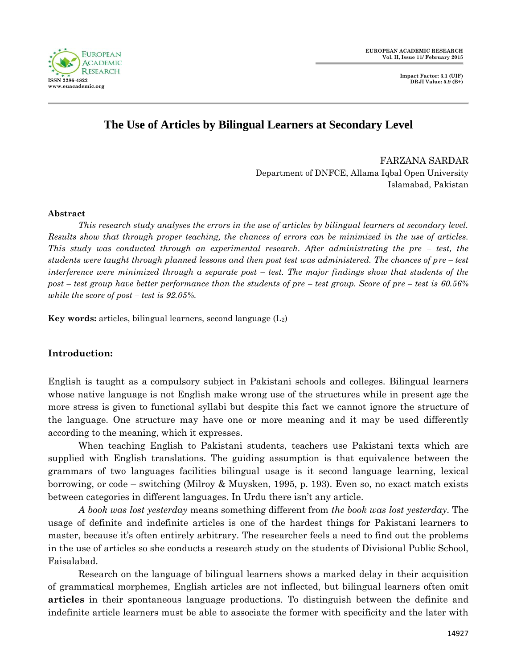

**Impact Factor: 3.1 (UIF) DRJI Value: 5.9 (B+)**

# **The Use of Articles by Bilingual Learners at Secondary Level**

FARZANA SARDAR Department of DNFCE, Allama Iqbal Open University Islamabad, Pakistan

### **Abstract**

*This research study analyses the errors in the use of articles by bilingual learners at secondary level. Results show that through proper teaching, the chances of errors can be minimized in the use of articles. This study was conducted through an experimental research. After administrating the pre – test, the students were taught through planned lessons and then post test was administered. The chances of pre – test interference were minimized through a separate post – test. The major findings show that students of the post – test group have better performance than the students of pre – test group. Score of pre – test is 60.56% while the score of post – test is 92.05%.*

**Key words:** articles, bilingual learners, second language (L2)

### **Introduction:**

English is taught as a compulsory subject in Pakistani schools and colleges. Bilingual learners whose native language is not English make wrong use of the structures while in present age the more stress is given to functional syllabi but despite this fact we cannot ignore the structure of the language. One structure may have one or more meaning and it may be used differently according to the meaning, which it expresses.

When teaching English to Pakistani students, teachers use Pakistani texts which are supplied with English translations. The guiding assumption is that equivalence between the grammars of two languages facilities bilingual usage is it second language learning, lexical borrowing, or code – switching (Milroy & Muysken, 1995, p. 193). Even so, no exact match exists between categories in different languages. In Urdu there isn't any article.

*A book was lost yesterday* means something different from *the book was lost yesterday*. The usage of definite and indefinite articles is one of the hardest things for Pakistani learners to master, because it's often entirely arbitrary. The researcher feels a need to find out the problems in the use of articles so she conducts a research study on the students of Divisional Public School, Faisalabad.

Research on the language of bilingual learners shows a marked delay in their acquisition of grammatical morphemes, English articles are not inflected, but bilingual learners often omit **articles** in their spontaneous language productions. To distinguish between the definite and indefinite article learners must be able to associate the former with specificity and the later with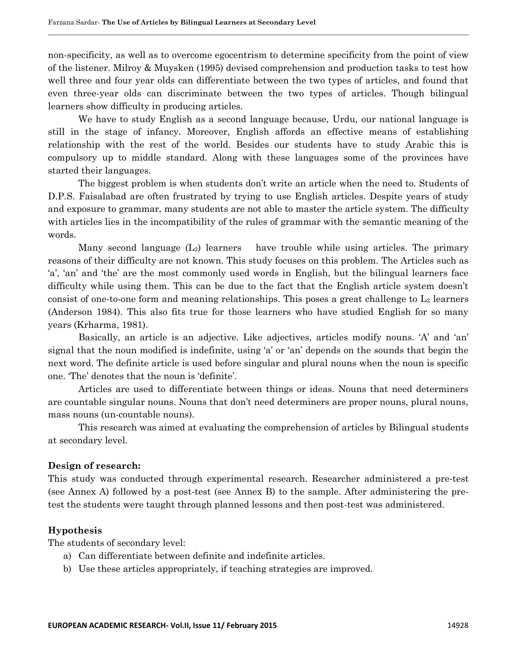non-specificity, as well as to overcome egocentrism to determine specificity from the point of view of the listener. Milroy & Muysken (1995) devised comprehension and production tasks to test how well three and four year olds can differentiate between the two types of articles, and found that even three-year olds can discriminate between the two types of articles. Though bilingual learners show difficulty in producing articles.

We have to study English as a second language because, Urdu, our national language is still in the stage of infancy. Moreover, English affords an effective means of establishing relationship with the rest of the world. Besides our students have to study Arabic this is compulsory up to middle standard. Along with these languages some of the provinces have started their languages.

The biggest problem is when students don't write an article when the need to. Students of D.P.S. Faisalabad are often frustrated by trying to use English articles. Despite years of study and exposure to grammar, many students are not able to master the article system. The difficulty with articles lies in the incompatibility of the rules of grammar with the semantic meaning of the words.

Many second language  $(L_2)$  learners have trouble while using articles. The primary reasons of their difficulty are not known. This study focuses on this problem. The Articles such as 'a', 'an' and 'the' are the most commonly used words in English, but the bilingual learners face difficulty while using them. This can be due to the fact that the English article system doesn't consist of one-to-one form and meaning relationships. This poses a great challenge to  $L_2$  learners (Anderson 1984). This also fits true for those learners who have studied English for so many years (Krharma, 1981).

Basically, an article is an adjective. Like adjectives, articles modify nouns. 'A' and 'an' signal that the noun modified is indefinite, using 'a' or 'an' depends on the sounds that begin the next word. The definite article is used before singular and plural nouns when the noun is specific one. "The" denotes that the noun is "definite".

Articles are used to differentiate between things or ideas. Nouns that need determiners are countable singular nouns. Nouns that don"t need determiners are proper nouns, plural nouns, mass nouns (un-countable nouns).

This research was aimed at evaluating the comprehension of articles by Bilingual students at secondary level.

#### **Design of research:**

This study was conducted through experimental research. Researcher administered a pre-test (see Annex A) followed by a post-test (see Annex B) to the sample. After administering the pretest the students were taught through planned lessons and then post-test was administered.

### **Hypothesis**

The students of secondary level:

- a) Can differentiate between definite and indefinite articles.
- b) Use these articles appropriately, if teaching strategies are improved.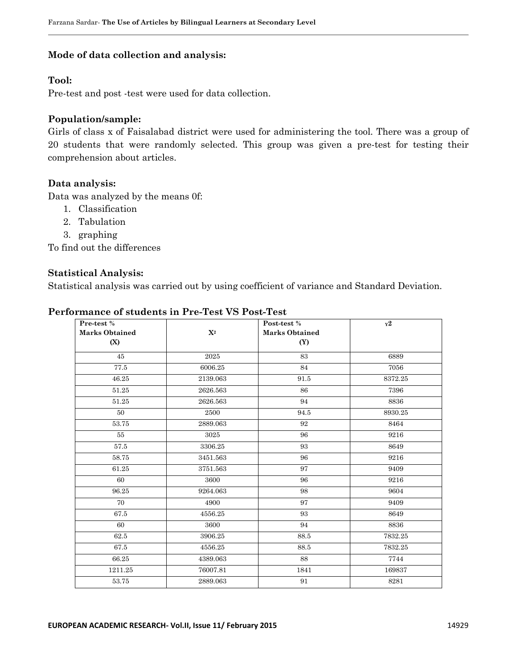### **Mode of data collection and analysis:**

# **Tool:**

Pre-test and post -test were used for data collection.

### **Population/sample:**

Girls of class x of Faisalabad district were used for administering the tool. There was a group of 20 students that were randomly selected. This group was given a pre-test for testing their comprehension about articles.

### **Data analysis:**

Data was analyzed by the means 0f:

- 1. Classification
- 2. Tabulation
- 3. graphing

To find out the differences

### **Statistical Analysis:**

Statistical analysis was carried out by using coefficient of variance and Standard Deviation.

| Pre-test %            |                | Post-test %           | $Y^2$   |
|-----------------------|----------------|-----------------------|---------|
| <b>Marks Obtained</b> | $\mathbf{X}^2$ | <b>Marks Obtained</b> |         |
| (X)                   |                | (Y)                   |         |
| 45                    | 2025           | 83                    | 6889    |
| $77.5\,$              | 6006.25        | 84                    | 7056    |
| 46.25                 | 2139.063       | 91.5                  | 8372.25 |
| 51.25                 | 2626.563       | 86                    | 7396    |
| 51.25                 | 2626.563       | 94                    | 8836    |
| 50                    | 2500           | 94.5                  | 8930.25 |
| 53.75                 | 2889.063       | 92                    | 8464    |
| 55                    | 3025           | 96                    | 9216    |
| 57.5                  | 3306.25        | 93                    | 8649    |
| 58.75                 | 3451.563       | 96                    | 9216    |
| 61.25                 | 3751.563       | 97                    | 9409    |
| 60                    | 3600           | 96                    | 9216    |
| 96.25                 | 9264.063       | 98                    | 9604    |
| 70                    | 4900           | 97                    | 9409    |
| 67.5                  | 4556.25        | 93                    | 8649    |
| 60                    | 3600           | 94                    | 8836    |
| 62.5                  | 3906.25        | 88.5                  | 7832.25 |
| 67.5                  | 4556.25        | 88.5                  | 7832.25 |
| 66.25                 | 4389.063       | 88                    | 7744    |
| 1211.25               | 76007.81       | 1841                  | 169837  |
| 53.75                 | 2889.063       | 91                    | 8281    |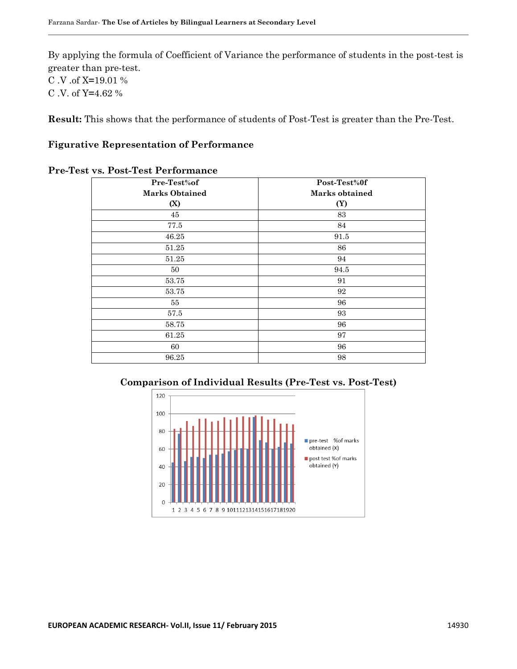By applying the formula of Coefficient of Variance the performance of students in the post-test is greater than pre-test. C .V .of X**=**19.01 % C .V. of Y**=**4.62 %

**Result:** This shows that the performance of students of Post-Test is greater than the Pre-Test.

### **Figurative Representation of Performance**

| Pre-Test%of           | Post-Test%0f   |  |
|-----------------------|----------------|--|
| <b>Marks Obtained</b> | Marks obtained |  |
| (X)                   | (Y)            |  |
| 45                    | 83             |  |
| 77.5                  | 84             |  |
| 46.25                 | $91.5\,$       |  |
| 51.25                 | 86             |  |
| 51.25                 | 94             |  |
| 50                    | 94.5           |  |
| 53.75                 | 91             |  |
| 53.75                 | 92             |  |
| 55                    | 96             |  |
| 57.5                  | 93             |  |
| 58.75                 | 96             |  |
| 61.25                 | 97             |  |
| 60                    | 96             |  |
| 96.25                 | 98             |  |

#### **Pre-Test vs. Post-Test Performance**

### **Comparison of Individual Results (Pre-Test vs. Post-Test)**

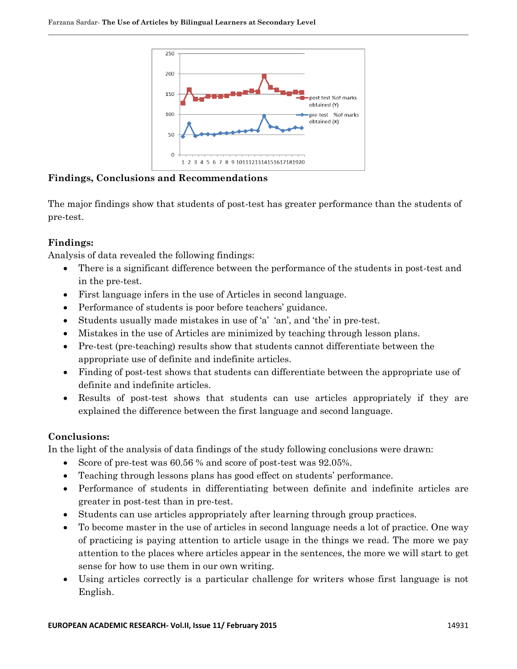

**Findings, Conclusions and Recommendations**

The major findings show that students of post-test has greater performance than the students of pre-test.

# **Findings:**

Analysis of data revealed the following findings:

- There is a significant difference between the performance of the students in post-test and in the pre-test.
- First language infers in the use of Articles in second language.
- Performance of students is poor before teachers' guidance.
- Students usually made mistakes in use of "a" "an", and "the" in pre-test.
- Mistakes in the use of Articles are minimized by teaching through lesson plans.
- Pre-test (pre-teaching) results show that students cannot differentiate between the appropriate use of definite and indefinite articles.
- Finding of post-test shows that students can differentiate between the appropriate use of definite and indefinite articles.
- Results of post-test shows that students can use articles appropriately if they are explained the difference between the first language and second language.

# **Conclusions:**

In the light of the analysis of data findings of the study following conclusions were drawn:

- Score of pre-test was 60.56 % and score of post-test was 92.05%.
- Teaching through lessons plans has good effect on students' performance.
- Performance of students in differentiating between definite and indefinite articles are greater in post-test than in pre-test.
- Students can use articles appropriately after learning through group practices.
- To become master in the use of articles in second language needs a lot of practice. One way of practicing is paying attention to article usage in the things we read. The more we pay attention to the places where articles appear in the sentences, the more we will start to get sense for how to use them in our own writing.
- Using articles correctly is a particular challenge for writers whose first language is not English.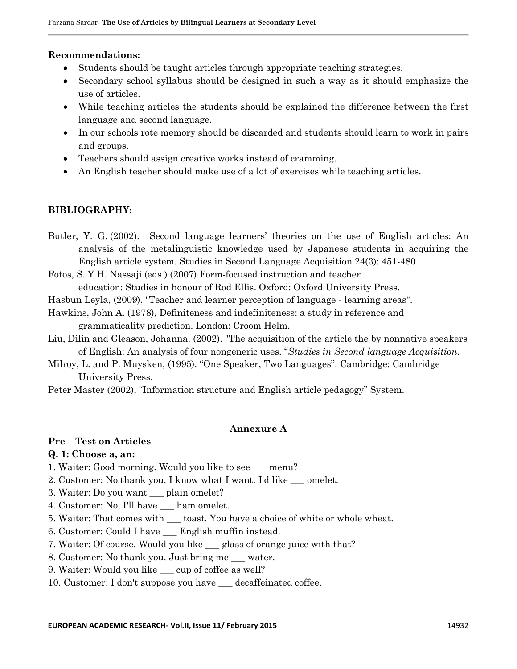### **Recommendations:**

- Students should be taught articles through appropriate teaching strategies.
- Secondary school syllabus should be designed in such a way as it should emphasize the use of articles.
- While teaching articles the students should be explained the difference between the first language and second language.
- In our schools rote memory should be discarded and students should learn to work in pairs and groups.
- Teachers should assign creative works instead of cramming.
- An English teacher should make use of a lot of exercises while teaching articles.

# **BIBLIOGRAPHY:**

- Butler, Y. G. (2002). Second language learners" theories on the use of English articles: An analysis of the metalinguistic knowledge used by Japanese students in acquiring the English article system. Studies in Second Language Acquisition 24(3): 451-480.
- Fotos, S. Y H. Nassaji (eds.) (2007) Form-focused instruction and teacher education: Studies in honour of Rod Ellis. Oxford: Oxford University Press.
- Hasbun Leyla, (2009). "Teacher and learner perception of language learning areas".
- Hawkins, John A. (1978), Definiteness and indefiniteness: a study in reference and grammaticality prediction. London: Croom Helm.
- Liu, Dilin and Gleason, Johanna. (2002). ["The acquisition of the article the by nonnative speakers](http://www.esaim-cocv.org/action/displayAbstract?fromPage=online&aid=106785&fulltextType=RA&fileId=S0272263102001018)  of English: An analysis of four nongeneric uses. "*[Studies in Second language Acquisition](http://www.esaim-cocv.org/action/displayAbstract?fromPage=online&aid=106785&fulltextType=RA&fileId=S0272263102001018)*.
- Milroy, L. and P. Muysken, (1995). "One Speaker, Two Languages". Cambridge: Cambridge University Press.

Peter Master (2002), "Information structure and English article pedagogy" System.

### **Annexure A**

# **Pre – Test on Articles**

### **Q. 1: Choose a, an:**

- 1. Waiter: Good morning. Would you like to see \_\_\_ menu?
- 2. Customer: No thank you. I know what I want. I'd like \_\_\_ omelet.
- 3. Waiter: Do you want \_\_\_ plain omelet?
- 4. Customer: No, I'll have \_\_\_ ham omelet.
- 5. Waiter: That comes with \_\_\_ toast. You have a choice of white or whole wheat.
- 6. Customer: Could I have \_\_\_ English muffin instead.
- 7. Waiter: Of course. Would you like \_\_\_ glass of orange juice with that?
- 8. Customer: No thank you. Just bring me \_\_\_ water.
- 9. Waiter: Would you like \_\_\_ cup of coffee as well?
- 10. Customer: I don't suppose you have \_\_\_ decaffeinated coffee.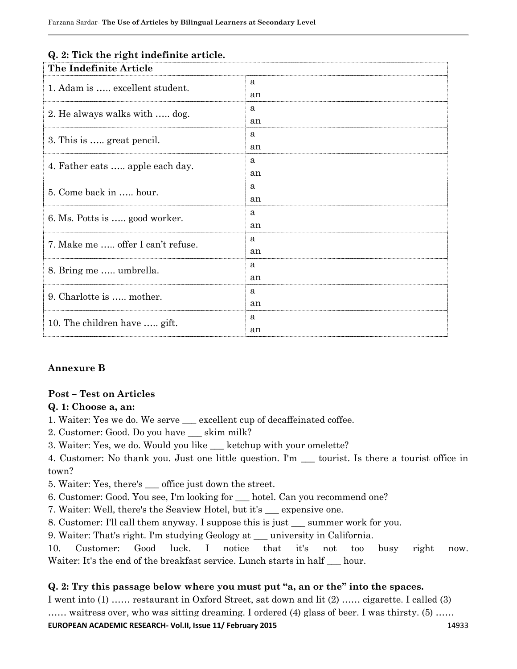| The Indefinite Article            |    |  |
|-----------------------------------|----|--|
| 1. Adam is  excellent student.    | a  |  |
|                                   | an |  |
| 2. He always walks with  dog.     | a  |  |
|                                   | an |  |
| 3. This is  great pencil.         | a  |  |
|                                   | an |  |
| 4. Father eats  apple each day.   | a  |  |
|                                   | an |  |
| 5. Come back in  hour.            | a  |  |
|                                   | an |  |
| 6. Ms. Potts is  good worker.     | a  |  |
|                                   | an |  |
| 7. Make me  offer I can't refuse. | a  |  |
|                                   | an |  |
| 8. Bring me  umbrella.            | a  |  |
|                                   | an |  |
| 9. Charlotte is  mother.          | a  |  |
|                                   | an |  |
| 10. The children have  gift.      | a  |  |
|                                   | an |  |

### **Q. 2: Tick the right indefinite article.**

# **Annexure B**

### **Post – Test on Articles**

### **Q. 1: Choose a, an:**

- 1. Waiter: Yes we do. We serve \_\_\_ excellent cup of decaffeinated coffee.
- 2. Customer: Good. Do you have skim milk?
- 3. Waiter: Yes, we do. Would you like \_\_\_ ketchup with your omelette?
- 4. Customer: No thank you. Just one little question. I'm \_\_\_ tourist. Is there a tourist office in town?
- 5. Waiter: Yes, there's \_\_\_ office just down the street.
- 6. Customer: Good. You see, I'm looking for \_\_\_ hotel. Can you recommend one?
- 7. Waiter: Well, there's the Seaview Hotel, but it's \_\_\_ expensive one.
- 8. Customer: I'll call them anyway. I suppose this is just \_\_\_ summer work for you.
- 9. Waiter: That's right. I'm studying Geology at \_\_\_ university in California.

10. Customer: Good luck. I notice that it's not too busy right now. Waiter: It's the end of the breakfast service. Lunch starts in half <u>equ</u> hour.

# **Q. 2: Try this passage below where you must put "a, an or the" into the spaces.**

**EUROPEAN ACADEMIC RESEARCH- Vol.II, Issue 11/ February 2015** 11 12033 14933 I went into (1) …… restaurant in Oxford Street, sat down and lit (2) …… cigarette. I called (3) …… waitress over, who was sitting dreaming. I ordered (4) glass of beer. I was thirsty. (5) ……